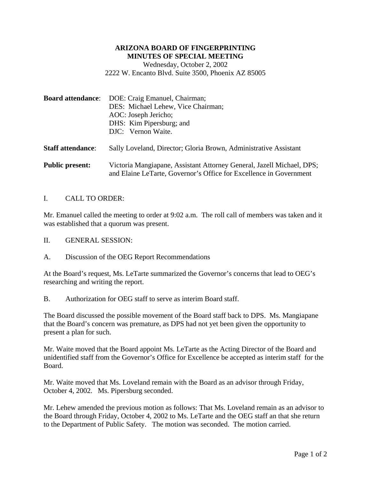## **ARIZONA BOARD OF FINGERPRINTING MINUTES OF SPECIAL MEETING**

Wednesday, October 2, 2002 2222 W. Encanto Blvd. Suite 3500, Phoenix AZ 85005

| <b>Board attendance:</b> | DOE: Craig Emanuel, Chairman;<br>DES: Michael Lehew, Vice Chairman;<br>AOC: Joseph Jericho;<br>DHS: Kim Pipersburg; and<br>DJC: Vernon Waite. |
|--------------------------|-----------------------------------------------------------------------------------------------------------------------------------------------|
| <b>Staff attendance:</b> | Sally Loveland, Director; Gloria Brown, Administrative Assistant                                                                              |
| <b>Public present:</b>   | Victoria Mangiapane, Assistant Attorney General, Jazell Michael, DPS;<br>and Elaine LeTarte, Governor's Office for Excellence in Government   |

## I. CALL TO ORDER:

Mr. Emanuel called the meeting to order at 9:02 a.m. The roll call of members was taken and it was established that a quorum was present.

- II. GENERAL SESSION:
- A. Discussion of the OEG Report Recommendations

At the Board's request, Ms. LeTarte summarized the Governor's concerns that lead to OEG's researching and writing the report.

B. Authorization for OEG staff to serve as interim Board staff.

The Board discussed the possible movement of the Board staff back to DPS. Ms. Mangiapane that the Board's concern was premature, as DPS had not yet been given the opportunity to present a plan for such.

Mr. Waite moved that the Board appoint Ms. LeTarte as the Acting Director of the Board and unidentified staff from the Governor's Office for Excellence be accepted as interim staff for the Board.

Mr. Waite moved that Ms. Loveland remain with the Board as an advisor through Friday, October 4, 2002. Ms. Pipersburg seconded.

Mr. Lehew amended the previous motion as follows: That Ms. Loveland remain as an advisor to the Board through Friday, October 4, 2002 to Ms. LeTarte and the OEG staff an that she return to the Department of Public Safety. The motion was seconded. The motion carried.